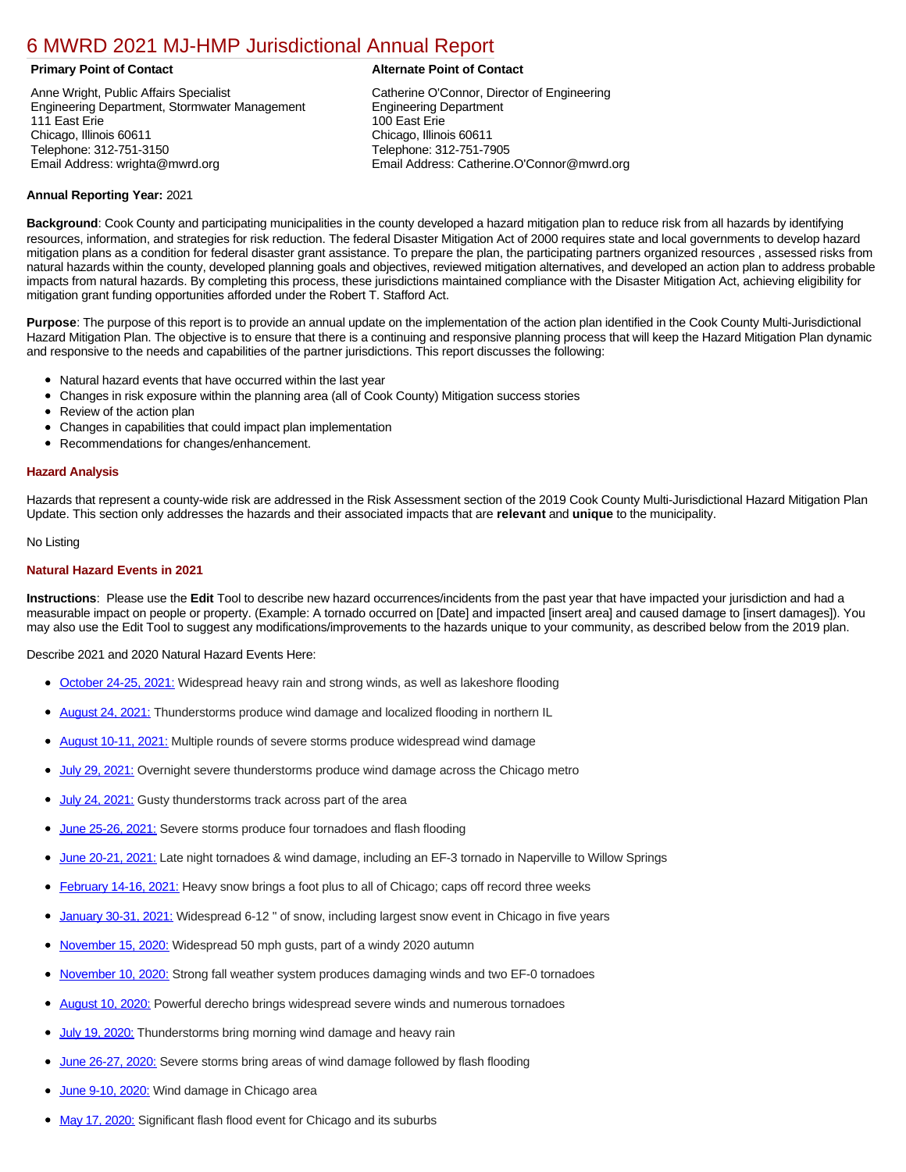# [6 MWRD 2021 MJ-HMP Jurisdictional Annual Report](https://mwrd.isc-cemp.com/Cemp/Details?id=8334867)

Anne Wright, Public Affairs Specialist Engineering Department, Stormwater Management 111 East Erie Chicago, Illinois 60611 Telephone: 312-751-3150 Email Address: wrighta@mwrd.org

# **Primary Point of Contact Alternate Point of Contact**

Catherine O'Connor, Director of Engineering Engineering Department 100 East Erie Chicago, Illinois 60611 Telephone: 312-751-7905 Email Address: Catherine.O'Connor@mwrd.org

# **Annual Reporting Year:** 2021

**Background**: Cook County and participating municipalities in the county developed a hazard mitigation plan to reduce risk from all hazards by identifying resources, information, and strategies for risk reduction. The federal Disaster Mitigation Act of 2000 requires state and local governments to develop hazard mitigation plans as a condition for federal disaster grant assistance. To prepare the plan, the participating partners organized resources , assessed risks from natural hazards within the county, developed planning goals and objectives, reviewed mitigation alternatives, and developed an action plan to address probable impacts from natural hazards. By completing this process, these jurisdictions maintained compliance with the Disaster Mitigation Act, achieving eligibility for mitigation grant funding opportunities afforded under the Robert T. Stafford Act.

**Purpose**: The purpose of this report is to provide an annual update on the implementation of the action plan identified in the Cook County Multi-Jurisdictional Hazard Mitigation Plan. The objective is to ensure that there is a continuing and responsive planning process that will keep the Hazard Mitigation Plan dynamic and responsive to the needs and capabilities of the partner jurisdictions. This report discusses the following:

- Natural hazard events that have occurred within the last year
- Changes in risk exposure within the planning area (all of Cook County) Mitigation success stories
- Review of the action plan
- Changes in capabilities that could impact plan implementation
- Recommendations for changes/enhancement.

# **Hazard Analysis**

Hazards that represent a county-wide risk are addressed in the Risk Assessment section of the 2019 Cook County Multi-Jurisdictional Hazard Mitigation Plan Update. This section only addresses the hazards and their associated impacts that are **relevant** and **unique** to the municipality.

# No Listing

# **Natural Hazard Events in 2021**

**Instructions**: Please use the **Edit** Tool to describe new hazard occurrences/incidents from the past year that have impacted your jurisdiction and had a measurable impact on people or property. (Example: A tornado occurred on [Date] and impacted [insert area] and caused damage to [insert damages]). You may also use the Edit Tool to suggest any modifications/improvements to the hazards unique to your community, as described below from the 2019 plan.

Describe 2021 and 2020 Natural Hazard Events Here:

- [October 24-25, 2021:](https://www.weather.gov/lot/2021oct2425) Widespread heavy rain and strong winds, as well as lakeshore flooding
- [August 24, 2021:](https://www.weather.gov/lot/2021aug24) Thunderstorms produce wind damage and localized flooding in northern IL
- [August 10-11, 2021:](https://www.weather.gov/lot/2021aug10-11) Multiple rounds of severe storms produce widespread wind damage
- [July 29, 2021:](https://www.weather.gov/lot/29July2021_severewind) Overnight severe thunderstorms produce wind damage across the Chicago metro
- [July 24, 2021:](https://www.weather.gov/lot/2021jul24) Gusty thunderstorms track across part of the area
- [June 25-26, 2021:](https://www.weather.gov/lot/2526June2021) Severe storms produce four tornadoes and flash flooding
- [June 20-21, 2021:](https://www.weather.gov/lot/2021jun2021) Late night tornadoes & wind damage, including an EF-3 tornado in Naperville to Willow Springs
- [February 14-16, 2021:](https://www.weather.gov/lot/Feb14-16_HeavySnow) Heavy snow brings a foot plus to all of Chicago; caps off record three weeks
- [January 30-31, 2021:](https://www.weather.gov/lot/2021jan3031_snow) Widespread 6-12 " of snow, including largest snow event in Chicago in five years
- [November 15, 2020:](https://www.weather.gov/lot/2020Nov15) Widespread 50 mph gusts, part of a windy 2020 autumn
- [November 10, 2020:](https://www.weather.gov/lot/10Nov2020) Strong fall weather system produces damaging winds and two EF-0 tornadoes
- [August 10, 2020:](https://www.weather.gov/lot/2020aug10) Powerful derecho brings widespread severe winds and numerous tornadoes
- [July 19, 2020:](https://www.weather.gov/lot/19Jul2020) Thunderstorms bring morning wind damage and heavy rain
- [June 26-27, 2020:](https://www.weather.gov/lot/26june2020) Severe storms bring areas of wind damage followed by flash flooding
- [June 9-10, 2020:](https://www.weather.gov/lot/09june2020) Wind damage in Chicago area
- [May 17, 2020:](https://www.weather.gov/lot/17may2020) Significant flash flood event for Chicago and its suburbs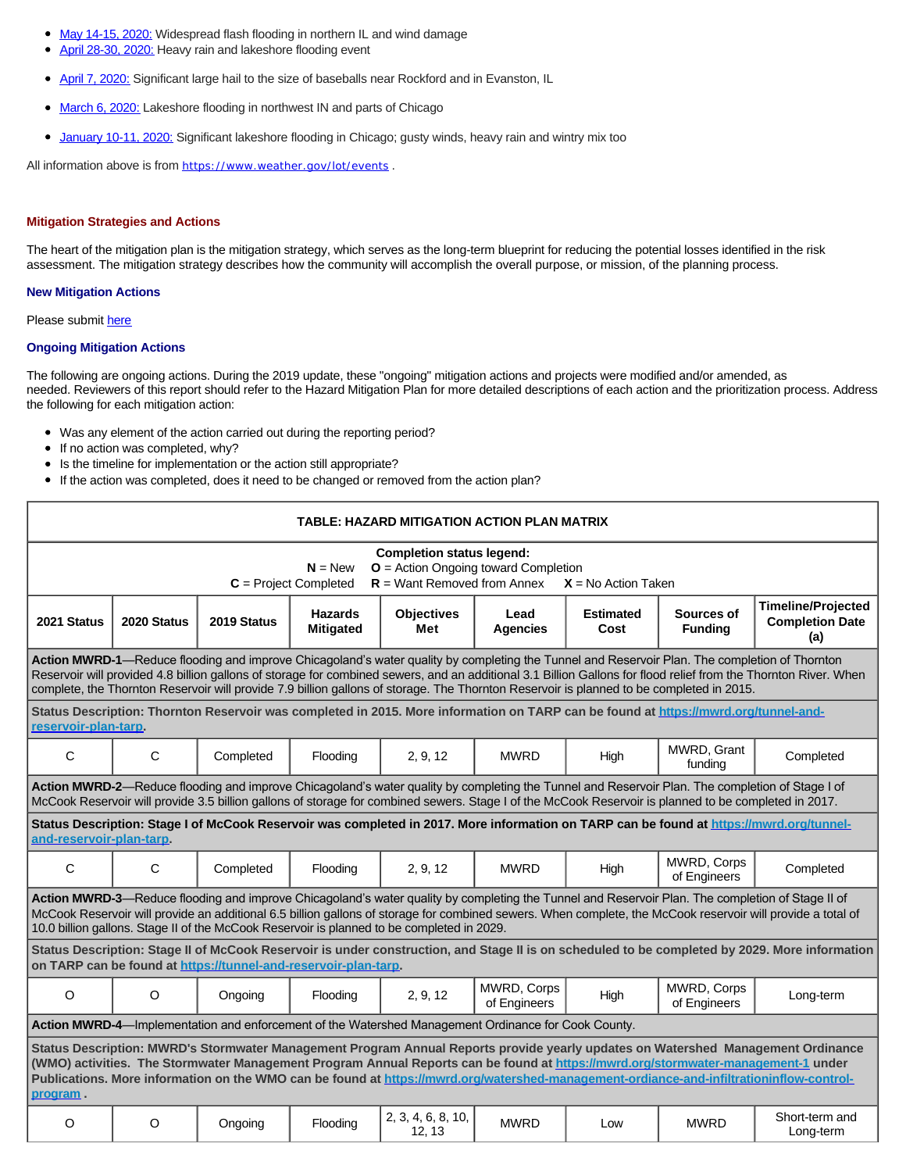- [May 14-15, 2020:](https://www.weather.gov/lot/1415may2020) Widespread flash flooding in northern IL and wind damage  $\bullet$
- [April 28-30, 2020:](https://www.weather.gov/lot/2020apr2830_HeavyRain) Heavy rain and lakeshore flooding event
- [April 7, 2020:](https://www.weather.gov/lot/7April2020_HailEvent) Significant large hail to the size of baseballs near Rockford and in Evanston, IL  $\bullet$
- $\bullet$ [March 6, 2020:](https://www.weather.gov/lot/2020March6_lakeshoreflooding) Lakeshore flooding in northwest IN and parts of Chicago
- [January 10-11, 2020:](https://www.weather.gov/lot/1011Jan2020) Significant lakeshore flooding in Chicago; gusty winds, heavy rain and wintry mix too  $\bullet$

All information above is from <https://www.weather.gov/lot/events>.

#### **Mitigation Strategies and Actions**

The heart of the mitigation plan is the mitigation strategy, which serves as the long-term blueprint for reducing the potential losses identified in the risk assessment. The mitigation strategy describes how the community will accomplish the overall purpose, or mission, of the planning process.

#### **New Mitigation Actions**

# Please submit [here](https://integratedsolutions.wufoo.com/forms/mg21jvf0jn639o/)

### **Ongoing Mitigation Actions**

The following are ongoing actions. During the 2019 update, these "ongoing" mitigation actions and projects were modified and/or amended, as needed. Reviewers of this report should refer to the Hazard Mitigation Plan for more detailed descriptions of each action and the prioritization process. Address the following for each mitigation action:

- Was any element of the action carried out during the reporting period?
- If no action was completed, why?
- Is the timeline for implementation or the action still appropriate?  $\bullet$
- If the action was completed, does it need to be changed or removed from the action plan?

| TABLE: HAZARD MITIGATION ACTION PLAN MATRIX                                                                                                                                                                                                                                                                                                                                                                                                                   |              |             |                                    |                              |                             |                          |                              |                                                            |  |
|---------------------------------------------------------------------------------------------------------------------------------------------------------------------------------------------------------------------------------------------------------------------------------------------------------------------------------------------------------------------------------------------------------------------------------------------------------------|--------------|-------------|------------------------------------|------------------------------|-----------------------------|--------------------------|------------------------------|------------------------------------------------------------|--|
| <b>Completion status legend:</b><br>$O =$ Action Ongoing toward Completion<br>$N = New$<br>$R =$ Want Removed from Annex<br>$C =$ Project Completed<br>$X = No$ Action Taken                                                                                                                                                                                                                                                                                  |              |             |                                    |                              |                             |                          |                              |                                                            |  |
| 2021 Status                                                                                                                                                                                                                                                                                                                                                                                                                                                   | 2020 Status  | 2019 Status | <b>Hazards</b><br><b>Mitigated</b> | <b>Objectives</b><br>Met     | Lead<br><b>Agencies</b>     | <b>Estimated</b><br>Cost | Sources of<br><b>Funding</b> | <b>Timeline/Projected</b><br><b>Completion Date</b><br>(a) |  |
| Action MWRD-1-Reduce flooding and improve Chicagoland's water quality by completing the Tunnel and Reservoir Plan. The completion of Thornton<br>Reservoir will provided 4.8 billion gallons of storage for combined sewers, and an additional 3.1 Billion Gallons for flood relief from the Thornton River. When<br>complete, the Thornton Reservoir will provide 7.9 billion gallons of storage. The Thornton Reservoir is planned to be completed in 2015. |              |             |                                    |                              |                             |                          |                              |                                                            |  |
| Status Description: Thornton Reservoir was completed in 2015. More information on TARP can be found at https://mwrd.org/tunnel-and-<br>reservoir-plan-tarp.                                                                                                                                                                                                                                                                                                   |              |             |                                    |                              |                             |                          |                              |                                                            |  |
| $\mathsf{C}$                                                                                                                                                                                                                                                                                                                                                                                                                                                  | C            | Completed   | Flooding                           | 2, 9, 12                     | <b>MWRD</b>                 | High                     | MWRD, Grant<br>funding       | Completed                                                  |  |
| Action MWRD-2-Reduce flooding and improve Chicagoland's water quality by completing the Tunnel and Reservoir Plan. The completion of Stage I of<br>McCook Reservoir will provide 3.5 billion gallons of storage for combined sewers. Stage I of the McCook Reservoir is planned to be completed in 2017.                                                                                                                                                      |              |             |                                    |                              |                             |                          |                              |                                                            |  |
| Status Description: Stage I of McCook Reservoir was completed in 2017. More information on TARP can be found at https://mwrd.org/tunnel-<br>and-reservoir-plan-tarp.                                                                                                                                                                                                                                                                                          |              |             |                                    |                              |                             |                          |                              |                                                            |  |
| $\mathbf C$                                                                                                                                                                                                                                                                                                                                                                                                                                                   | $\mathsf{C}$ | Completed   | Flooding                           | 2, 9, 12                     | <b>MWRD</b>                 | High                     | MWRD, Corps<br>of Engineers  | Completed                                                  |  |
| Action MWRD-3-Reduce flooding and improve Chicagoland's water quality by completing the Tunnel and Reservoir Plan. The completion of Stage II of<br>McCook Reservoir will provide an additional 6.5 billion gallons of storage for combined sewers. When complete, the McCook reservoir will provide a total of<br>10.0 billion gallons. Stage II of the McCook Reservoir is planned to be completed in 2029.                                                 |              |             |                                    |                              |                             |                          |                              |                                                            |  |
| Status Description: Stage II of McCook Reservoir is under construction, and Stage II is on scheduled to be completed by 2029. More information<br>on TARP can be found at https://tunnel-and-reservoir-plan-tarp.                                                                                                                                                                                                                                             |              |             |                                    |                              |                             |                          |                              |                                                            |  |
| $\circ$                                                                                                                                                                                                                                                                                                                                                                                                                                                       | $\circ$      | Ongoing     | Flooding                           | 2, 9, 12                     | MWRD, Corps<br>of Engineers | High                     | MWRD, Corps<br>of Engineers  | Long-term                                                  |  |
| Action MWRD-4-Implementation and enforcement of the Watershed Management Ordinance for Cook County.                                                                                                                                                                                                                                                                                                                                                           |              |             |                                    |                              |                             |                          |                              |                                                            |  |
| Status Description: MWRD's Stormwater Management Program Annual Reports provide yearly updates on Watershed Management Ordinance<br>(WMO) activities. The Stormwater Management Program Annual Reports can be found at https://mwrd.org/stormwater-management-1 under<br>Publications. More information on the WMO can be found at https://mwrd.org/watershed-management-ordiance-and-infiltrationinflow-control-<br>program.                                 |              |             |                                    |                              |                             |                          |                              |                                                            |  |
| $\circ$                                                                                                                                                                                                                                                                                                                                                                                                                                                       | O            | Ongoing     | Flooding                           | 2, 3, 4, 6, 8, 10,<br>12, 13 | <b>MWRD</b>                 | Low                      | <b>MWRD</b>                  | Short-term and<br>Long-term                                |  |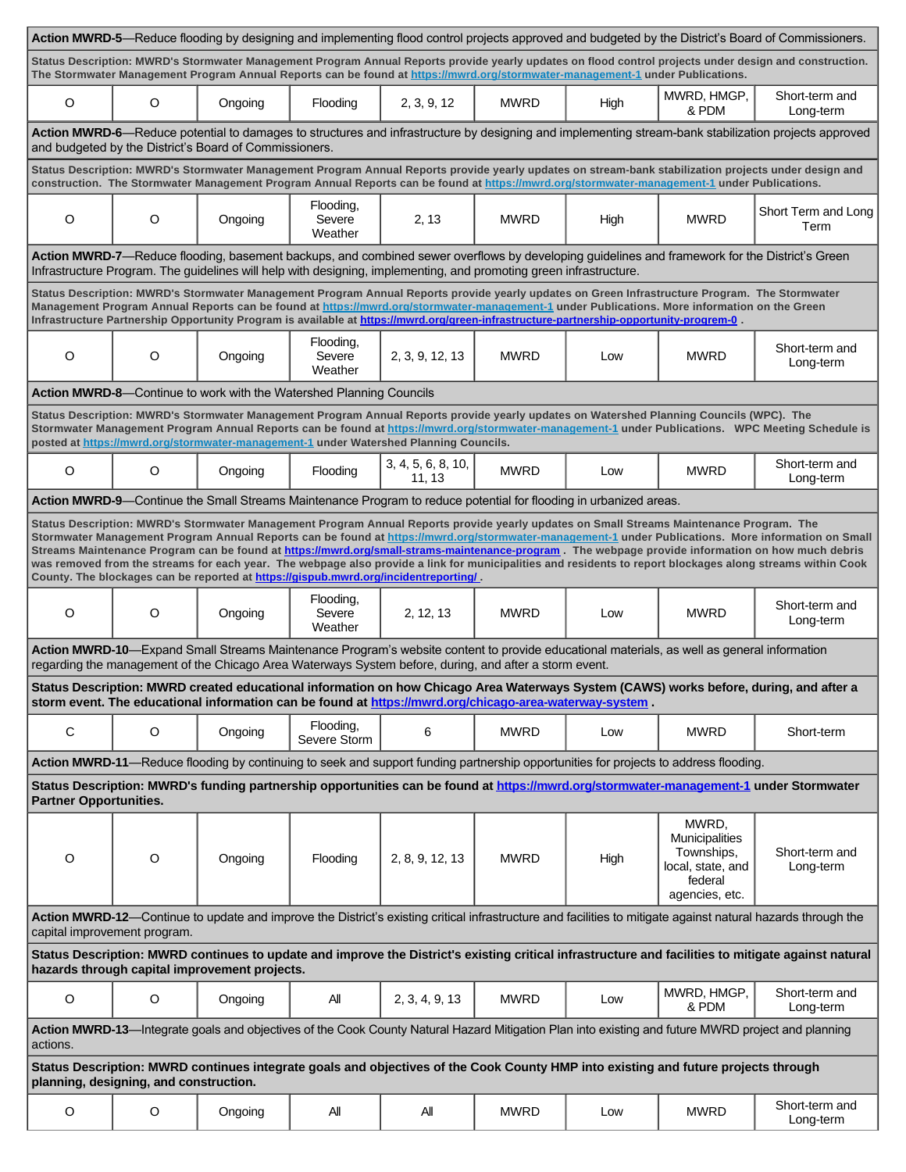|                                                                                                                                                                                                                                                                                                                                                                                                                                                                                                                                                                                                                                                                                                             | Action MWRD-5—Reduce flooding by designing and implementing flood control projects approved and budgeted by the District's Board of Commissioners. |                                                                     |                                |                                                                                                                                         |             |      |                                                                                                                                                                                                                                                                                                |                             |
|-------------------------------------------------------------------------------------------------------------------------------------------------------------------------------------------------------------------------------------------------------------------------------------------------------------------------------------------------------------------------------------------------------------------------------------------------------------------------------------------------------------------------------------------------------------------------------------------------------------------------------------------------------------------------------------------------------------|----------------------------------------------------------------------------------------------------------------------------------------------------|---------------------------------------------------------------------|--------------------------------|-----------------------------------------------------------------------------------------------------------------------------------------|-------------|------|------------------------------------------------------------------------------------------------------------------------------------------------------------------------------------------------------------------------------------------------------------------------------------------------|-----------------------------|
| Status Description: MWRD's Stormwater Management Program Annual Reports provide yearly updates on flood control projects under design and construction.<br>The Stormwater Management Program Annual Reports can be found at https://mwrd.org/stormwater-management-1 under Publications.                                                                                                                                                                                                                                                                                                                                                                                                                    |                                                                                                                                                    |                                                                     |                                |                                                                                                                                         |             |      |                                                                                                                                                                                                                                                                                                |                             |
| O                                                                                                                                                                                                                                                                                                                                                                                                                                                                                                                                                                                                                                                                                                           | O                                                                                                                                                  | Ongoing                                                             | Flooding                       | 2, 3, 9, 12                                                                                                                             | <b>MWRD</b> | High | MWRD, HMGP,<br>& PDM                                                                                                                                                                                                                                                                           | Short-term and<br>Long-term |
| Action MWRD-6—Reduce potential to damages to structures and infrastructure by designing and implementing stream-bank stabilization projects approved<br>and budgeted by the District's Board of Commissioners.                                                                                                                                                                                                                                                                                                                                                                                                                                                                                              |                                                                                                                                                    |                                                                     |                                |                                                                                                                                         |             |      |                                                                                                                                                                                                                                                                                                |                             |
| Status Description: MWRD's Stormwater Management Program Annual Reports provide yearly updates on stream-bank stabilization projects under design and<br>construction. The Stormwater Management Program Annual Reports can be found at https://mwrd.org/stormwater-management-1 under Publications.                                                                                                                                                                                                                                                                                                                                                                                                        |                                                                                                                                                    |                                                                     |                                |                                                                                                                                         |             |      |                                                                                                                                                                                                                                                                                                |                             |
| O                                                                                                                                                                                                                                                                                                                                                                                                                                                                                                                                                                                                                                                                                                           | O                                                                                                                                                  | Ongoing                                                             | Flooding,<br>Severe<br>Weather | 2, 13                                                                                                                                   | <b>MWRD</b> | High | <b>MWRD</b>                                                                                                                                                                                                                                                                                    | Short Term and Long<br>Term |
|                                                                                                                                                                                                                                                                                                                                                                                                                                                                                                                                                                                                                                                                                                             |                                                                                                                                                    |                                                                     |                                | Infrastructure Program. The guidelines will help with designing, implementing, and promoting green infrastructure.                      |             |      | Action MWRD-7-Reduce flooding, basement backups, and combined sewer overflows by developing guidelines and framework for the District's Green                                                                                                                                                  |                             |
|                                                                                                                                                                                                                                                                                                                                                                                                                                                                                                                                                                                                                                                                                                             |                                                                                                                                                    |                                                                     |                                | Infrastructure Partnership Opportunity Program is available at https://mwrd.org/green-infrastructure-partnership-opportunity-progrem-0. |             |      | Status Description: MWRD's Stormwater Management Program Annual Reports provide yearly updates on Green Infrastructure Program. The Stormwater<br>Management Program Annual Reports can be found at https://mwrd.org/stormwater-management-1 under Publications. More information on the Green |                             |
| O                                                                                                                                                                                                                                                                                                                                                                                                                                                                                                                                                                                                                                                                                                           | $\circ$                                                                                                                                            | Ongoing                                                             | Flooding,<br>Severe<br>Weather | 2, 3, 9, 12, 13                                                                                                                         | <b>MWRD</b> | Low  | <b>MWRD</b>                                                                                                                                                                                                                                                                                    | Short-term and<br>Long-term |
|                                                                                                                                                                                                                                                                                                                                                                                                                                                                                                                                                                                                                                                                                                             |                                                                                                                                                    | Action MWRD-8-Continue to work with the Watershed Planning Councils |                                |                                                                                                                                         |             |      |                                                                                                                                                                                                                                                                                                |                             |
| Status Description: MWRD's Stormwater Management Program Annual Reports provide yearly updates on Watershed Planning Councils (WPC). The<br>Stormwater Management Program Annual Reports can be found at https://mwrd.org/stormwater-management-1 under Publications. WPC Meeting Schedule is<br>posted at https://mwrd.org/stormwater-management-1 under Watershed Planning Councils.                                                                                                                                                                                                                                                                                                                      |                                                                                                                                                    |                                                                     |                                |                                                                                                                                         |             |      |                                                                                                                                                                                                                                                                                                |                             |
| O                                                                                                                                                                                                                                                                                                                                                                                                                                                                                                                                                                                                                                                                                                           | O                                                                                                                                                  | Ongoing                                                             | Flooding                       | 3, 4, 5, 6, 8, 10,<br>11, 13                                                                                                            | <b>MWRD</b> | Low  | <b>MWRD</b>                                                                                                                                                                                                                                                                                    | Short-term and<br>Long-term |
|                                                                                                                                                                                                                                                                                                                                                                                                                                                                                                                                                                                                                                                                                                             |                                                                                                                                                    |                                                                     |                                | Action MWRD-9—Continue the Small Streams Maintenance Program to reduce potential for flooding in urbanized areas.                       |             |      |                                                                                                                                                                                                                                                                                                |                             |
| Status Description: MWRD's Stormwater Management Program Annual Reports provide yearly updates on Small Streams Maintenance Program. The<br>Stormwater Management Program Annual Reports can be found at https://mwrd.org/stormwater-management-1 under Publications. More information on Small<br>Streams Maintenance Program can be found at https://mwrd.org/small-strams-maintenance-program . The webpage provide information on how much debris<br>was removed from the streams for each year. The webpage also provide a link for municipalities and residents to report blockages along streams within Cook<br>County. The blockages can be reported at https://gispub.mwrd.org/incidentreporting/. |                                                                                                                                                    |                                                                     |                                |                                                                                                                                         |             |      |                                                                                                                                                                                                                                                                                                |                             |
| O                                                                                                                                                                                                                                                                                                                                                                                                                                                                                                                                                                                                                                                                                                           | O                                                                                                                                                  | Ongoing                                                             | Flooding,<br>Severe<br>Weather | 2, 12, 13                                                                                                                               | <b>MWRD</b> | Low  | <b>MWRD</b>                                                                                                                                                                                                                                                                                    | Short-term and<br>Long-term |
| Action MWRD-10—Expand Small Streams Maintenance Program's website content to provide educational materials, as well as general information<br>regarding the management of the Chicago Area Waterways System before, during, and after a storm event.                                                                                                                                                                                                                                                                                                                                                                                                                                                        |                                                                                                                                                    |                                                                     |                                |                                                                                                                                         |             |      |                                                                                                                                                                                                                                                                                                |                             |
| Status Description: MWRD created educational information on how Chicago Area Waterways System (CAWS) works before, during, and after a<br>storm event. The educational information can be found at https://mwrd.org/chicago-area-waterway-system.                                                                                                                                                                                                                                                                                                                                                                                                                                                           |                                                                                                                                                    |                                                                     |                                |                                                                                                                                         |             |      |                                                                                                                                                                                                                                                                                                |                             |
| C                                                                                                                                                                                                                                                                                                                                                                                                                                                                                                                                                                                                                                                                                                           | O                                                                                                                                                  | Ongoing                                                             | Flooding,<br>Severe Storm      | 6                                                                                                                                       | <b>MWRD</b> | Low  | <b>MWRD</b>                                                                                                                                                                                                                                                                                    | Short-term                  |
| Action MWRD-11—Reduce flooding by continuing to seek and support funding partnership opportunities for projects to address flooding.                                                                                                                                                                                                                                                                                                                                                                                                                                                                                                                                                                        |                                                                                                                                                    |                                                                     |                                |                                                                                                                                         |             |      |                                                                                                                                                                                                                                                                                                |                             |
| Status Description: MWRD's funding partnership opportunities can be found at https://mwrd.org/stormwater-management-1 under Stormwater<br><b>Partner Opportunities.</b>                                                                                                                                                                                                                                                                                                                                                                                                                                                                                                                                     |                                                                                                                                                    |                                                                     |                                |                                                                                                                                         |             |      |                                                                                                                                                                                                                                                                                                |                             |
| O                                                                                                                                                                                                                                                                                                                                                                                                                                                                                                                                                                                                                                                                                                           | O                                                                                                                                                  | Ongoing                                                             | Flooding                       | 2, 8, 9, 12, 13                                                                                                                         | <b>MWRD</b> | High | MWRD,<br>Municipalities<br>Townships,<br>local, state, and<br>federal<br>agencies, etc.                                                                                                                                                                                                        | Short-term and<br>Long-term |
| Action MWRD-12-Continue to update and improve the District's existing critical infrastructure and facilities to mitigate against natural hazards through the<br>capital improvement program.                                                                                                                                                                                                                                                                                                                                                                                                                                                                                                                |                                                                                                                                                    |                                                                     |                                |                                                                                                                                         |             |      |                                                                                                                                                                                                                                                                                                |                             |
| Status Description: MWRD continues to update and improve the District's existing critical infrastructure and facilities to mitigate against natural<br>hazards through capital improvement projects.                                                                                                                                                                                                                                                                                                                                                                                                                                                                                                        |                                                                                                                                                    |                                                                     |                                |                                                                                                                                         |             |      |                                                                                                                                                                                                                                                                                                |                             |
| O                                                                                                                                                                                                                                                                                                                                                                                                                                                                                                                                                                                                                                                                                                           | O                                                                                                                                                  | Ongoing                                                             | All                            | 2, 3, 4, 9, 13                                                                                                                          | <b>MWRD</b> | Low  | MWRD, HMGP,<br>& PDM                                                                                                                                                                                                                                                                           | Short-term and<br>Long-term |
| Action MWRD-13-Integrate goals and objectives of the Cook County Natural Hazard Mitigation Plan into existing and future MWRD project and planning<br>actions.                                                                                                                                                                                                                                                                                                                                                                                                                                                                                                                                              |                                                                                                                                                    |                                                                     |                                |                                                                                                                                         |             |      |                                                                                                                                                                                                                                                                                                |                             |
| Status Description: MWRD continues integrate goals and objectives of the Cook County HMP into existing and future projects through<br>planning, designing, and construction.                                                                                                                                                                                                                                                                                                                                                                                                                                                                                                                                |                                                                                                                                                    |                                                                     |                                |                                                                                                                                         |             |      |                                                                                                                                                                                                                                                                                                |                             |
| $\mathsf O$                                                                                                                                                                                                                                                                                                                                                                                                                                                                                                                                                                                                                                                                                                 | $\mathsf O$                                                                                                                                        | Ongoing                                                             | All                            | All                                                                                                                                     | <b>MWRD</b> | Low  | <b>MWRD</b>                                                                                                                                                                                                                                                                                    | Short-term and<br>Long-term |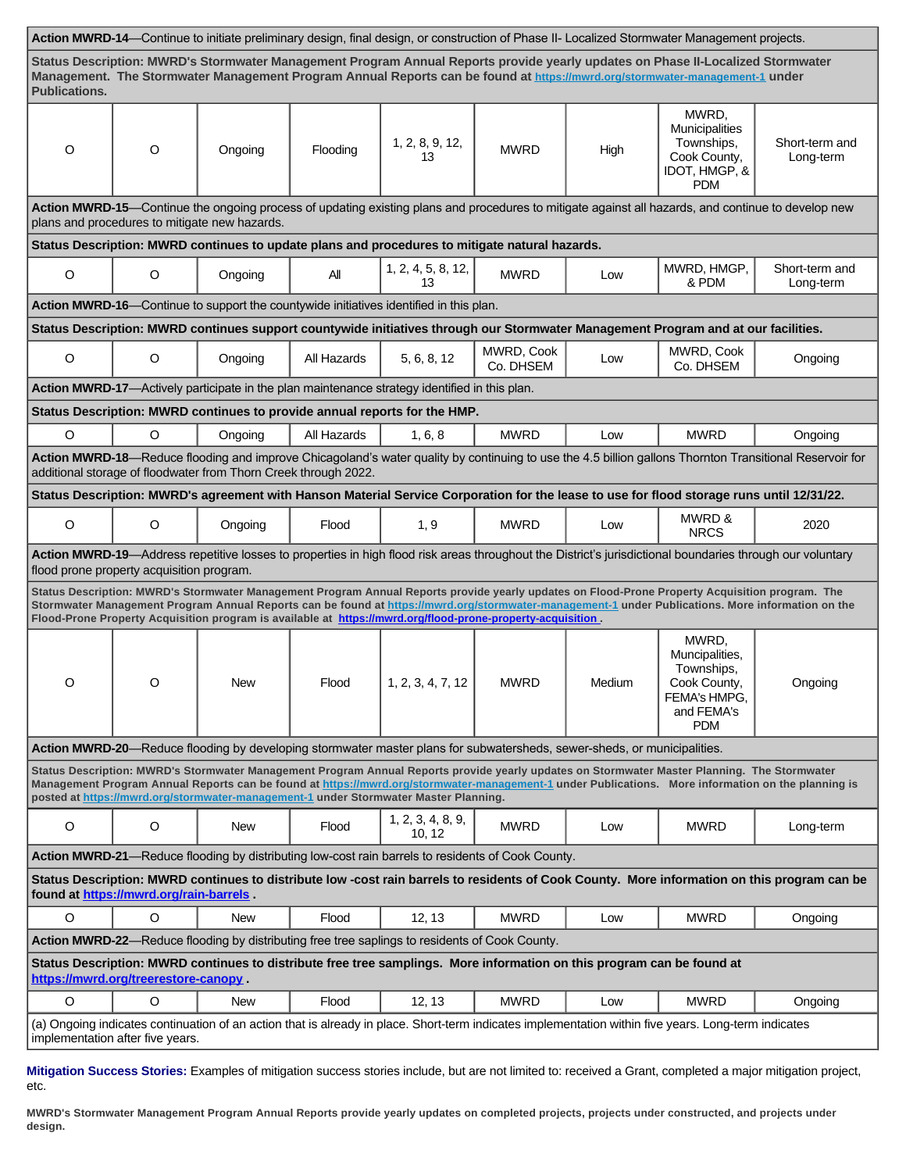| Action MWRD-14-Continue to initiate preliminary design, final design, or construction of Phase II- Localized Stormwater Management projects.                                                                                                                                                                                                                                                                        |                                                                                                |                                                                 |             |                                                                                                                         |                         |        |                                                                                                                                           |                                                                                                                                                         |  |  |
|---------------------------------------------------------------------------------------------------------------------------------------------------------------------------------------------------------------------------------------------------------------------------------------------------------------------------------------------------------------------------------------------------------------------|------------------------------------------------------------------------------------------------|-----------------------------------------------------------------|-------------|-------------------------------------------------------------------------------------------------------------------------|-------------------------|--------|-------------------------------------------------------------------------------------------------------------------------------------------|---------------------------------------------------------------------------------------------------------------------------------------------------------|--|--|
| Status Description: MWRD's Stormwater Management Program Annual Reports provide yearly updates on Phase II-Localized Stormwater<br>Management. The Stormwater Management Program Annual Reports can be found at https://mwrd.org/stormwater-management-1 under<br><b>Publications.</b>                                                                                                                              |                                                                                                |                                                                 |             |                                                                                                                         |                         |        |                                                                                                                                           |                                                                                                                                                         |  |  |
| O                                                                                                                                                                                                                                                                                                                                                                                                                   | O                                                                                              | Ongoing                                                         | Flooding    | 1, 2, 8, 9, 12,<br>13                                                                                                   | <b>MWRD</b>             | High   | MWRD,<br>Municipalities<br>Townships,<br>Cook County,<br>IDOT, HMGP, &<br><b>PDM</b>                                                      | Short-term and<br>Long-term                                                                                                                             |  |  |
| Action MWRD-15—Continue the ongoing process of updating existing plans and procedures to mitigate against all hazards, and continue to develop new<br>plans and procedures to mitigate new hazards.                                                                                                                                                                                                                 |                                                                                                |                                                                 |             |                                                                                                                         |                         |        |                                                                                                                                           |                                                                                                                                                         |  |  |
|                                                                                                                                                                                                                                                                                                                                                                                                                     | Status Description: MWRD continues to update plans and procedures to mitigate natural hazards. |                                                                 |             |                                                                                                                         |                         |        |                                                                                                                                           |                                                                                                                                                         |  |  |
| O                                                                                                                                                                                                                                                                                                                                                                                                                   | O                                                                                              | Ongoing                                                         | All         | 1, 2, 4, 5, 8, 12,<br>13                                                                                                | <b>MWRD</b>             | Low    | MWRD, HMGP,<br>& PDM                                                                                                                      | Short-term and<br>Long-term                                                                                                                             |  |  |
|                                                                                                                                                                                                                                                                                                                                                                                                                     |                                                                                                |                                                                 |             | Action MWRD-16-Continue to support the countywide initiatives identified in this plan.                                  |                         |        |                                                                                                                                           |                                                                                                                                                         |  |  |
|                                                                                                                                                                                                                                                                                                                                                                                                                     |                                                                                                |                                                                 |             |                                                                                                                         |                         |        | Status Description: MWRD continues support countywide initiatives through our Stormwater Management Program and at our facilities.        |                                                                                                                                                         |  |  |
| $\circ$                                                                                                                                                                                                                                                                                                                                                                                                             | O                                                                                              | Ongoing                                                         | All Hazards | 5, 6, 8, 12                                                                                                             | MWRD, Cook<br>Co. DHSEM | Low    | MWRD, Cook<br>Co. DHSEM                                                                                                                   | Ongoing                                                                                                                                                 |  |  |
|                                                                                                                                                                                                                                                                                                                                                                                                                     |                                                                                                |                                                                 |             | Action MWRD-17-Actively participate in the plan maintenance strategy identified in this plan.                           |                         |        |                                                                                                                                           |                                                                                                                                                         |  |  |
|                                                                                                                                                                                                                                                                                                                                                                                                                     |                                                                                                |                                                                 |             | Status Description: MWRD continues to provide annual reports for the HMP.                                               |                         |        |                                                                                                                                           |                                                                                                                                                         |  |  |
| $\circ$                                                                                                                                                                                                                                                                                                                                                                                                             | O                                                                                              | Ongoing                                                         | All Hazards | 1, 6, 8                                                                                                                 | <b>MWRD</b>             | Low    | <b>MWRD</b>                                                                                                                               | Ongoing                                                                                                                                                 |  |  |
|                                                                                                                                                                                                                                                                                                                                                                                                                     |                                                                                                | additional storage of floodwater from Thorn Creek through 2022. |             |                                                                                                                         |                         |        |                                                                                                                                           | Action MWRD-18-Reduce flooding and improve Chicagoland's water quality by continuing to use the 4.5 billion gallons Thornton Transitional Reservoir for |  |  |
|                                                                                                                                                                                                                                                                                                                                                                                                                     |                                                                                                |                                                                 |             |                                                                                                                         |                         |        | Status Description: MWRD's agreement with Hanson Material Service Corporation for the lease to use for flood storage runs until 12/31/22. |                                                                                                                                                         |  |  |
| O                                                                                                                                                                                                                                                                                                                                                                                                                   | O                                                                                              | Ongoing                                                         | Flood       | 1, 9                                                                                                                    | <b>MWRD</b>             | Low    | MWRD &<br><b>NRCS</b>                                                                                                                     | 2020                                                                                                                                                    |  |  |
| Action MWRD-19-Address repetitive losses to properties in high flood risk areas throughout the District's jurisdictional boundaries through our voluntary<br>flood prone property acquisition program.                                                                                                                                                                                                              |                                                                                                |                                                                 |             |                                                                                                                         |                         |        |                                                                                                                                           |                                                                                                                                                         |  |  |
| Status Description: MWRD's Stormwater Management Program Annual Reports provide yearly updates on Flood-Prone Property Acquisition program. The<br>Stormwater Management Program Annual Reports can be found at https://mwrd.org/stormwater-management-1 under Publications. More information on the<br>Flood-Prone Property Acquisition program is available at https://mwrd.org/flood-prone-property-acquisition. |                                                                                                |                                                                 |             |                                                                                                                         |                         |        |                                                                                                                                           |                                                                                                                                                         |  |  |
| O                                                                                                                                                                                                                                                                                                                                                                                                                   | O                                                                                              | <b>New</b>                                                      | Flood       | 1, 2, 3, 4, 7, 12                                                                                                       | <b>MWRD</b>             | Medium | MWRD,<br>Muncipalities,<br>Townships,<br>Cook County,<br>FEMA's HMPG,<br>and FEMA's<br><b>PDM</b>                                         | Ongoing                                                                                                                                                 |  |  |
|                                                                                                                                                                                                                                                                                                                                                                                                                     |                                                                                                |                                                                 |             | Action MWRD-20—Reduce flooding by developing stormwater master plans for subwatersheds, sewer-sheds, or municipalities. |                         |        |                                                                                                                                           |                                                                                                                                                         |  |  |
| Status Description: MWRD's Stormwater Management Program Annual Reports provide yearly updates on Stormwater Master Planning. The Stormwater<br>Management Program Annual Reports can be found at https://mwrd.org/stormwater-management-1 under Publications. More information on the planning is<br>posted at https://mwrd.org/stormwater-management-1 under Stormwater Master Planning.                          |                                                                                                |                                                                 |             |                                                                                                                         |                         |        |                                                                                                                                           |                                                                                                                                                         |  |  |
| O                                                                                                                                                                                                                                                                                                                                                                                                                   | O                                                                                              | New                                                             | Flood       | 1, 2, 3, 4, 8, 9,<br>10, 12                                                                                             | <b>MWRD</b>             | Low    | <b>MWRD</b>                                                                                                                               | Long-term                                                                                                                                               |  |  |
| Action MWRD-21—Reduce flooding by distributing low-cost rain barrels to residents of Cook County.                                                                                                                                                                                                                                                                                                                   |                                                                                                |                                                                 |             |                                                                                                                         |                         |        |                                                                                                                                           |                                                                                                                                                         |  |  |
| Status Description: MWRD continues to distribute low -cost rain barrels to residents of Cook County. More information on this program can be<br>found at https://mwrd.org/rain-barrels                                                                                                                                                                                                                              |                                                                                                |                                                                 |             |                                                                                                                         |                         |        |                                                                                                                                           |                                                                                                                                                         |  |  |
| $\circ$                                                                                                                                                                                                                                                                                                                                                                                                             | O                                                                                              | <b>New</b>                                                      | Flood       | 12, 13                                                                                                                  | <b>MWRD</b>             | Low    | <b>MWRD</b>                                                                                                                               | Ongoing                                                                                                                                                 |  |  |
| Action MWRD-22—Reduce flooding by distributing free tree saplings to residents of Cook County.                                                                                                                                                                                                                                                                                                                      |                                                                                                |                                                                 |             |                                                                                                                         |                         |        |                                                                                                                                           |                                                                                                                                                         |  |  |
| Status Description: MWRD continues to distribute free tree samplings. More information on this program can be found at<br>https://mwrd.org/treerestore-canopy                                                                                                                                                                                                                                                       |                                                                                                |                                                                 |             |                                                                                                                         |                         |        |                                                                                                                                           |                                                                                                                                                         |  |  |
| O                                                                                                                                                                                                                                                                                                                                                                                                                   | O                                                                                              | <b>New</b>                                                      | Flood       | 12, 13                                                                                                                  | <b>MWRD</b>             | Low    | <b>MWRD</b>                                                                                                                               | Ongoing                                                                                                                                                 |  |  |
| (a) Ongoing indicates continuation of an action that is already in place. Short-term indicates implementation within five years. Long-term indicates<br>implementation after five years.                                                                                                                                                                                                                            |                                                                                                |                                                                 |             |                                                                                                                         |                         |        |                                                                                                                                           |                                                                                                                                                         |  |  |

**Mitigation Success Stories:** Examples of mitigation success stories include, but are not limited to: received a Grant, completed a major mitigation project, etc.

**MWRD's Stormwater Management Program Annual Reports provide yearly updates on completed projects, projects under constructed, and projects under design.**